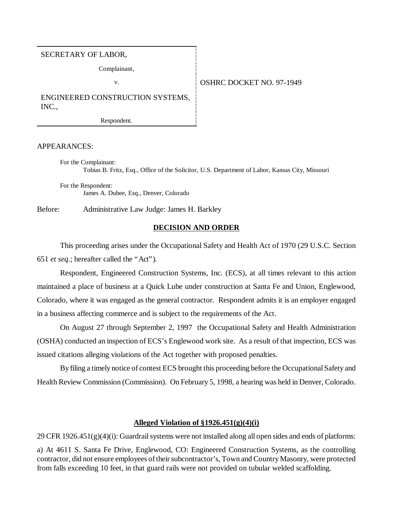### SECRETARY OF LABOR,

Complainant,

## v. COSHRC DOCKET NO. 97-1949

ENGINEERED CONSTRUCTION SYSTEMS, INC.,

Respondent.

APPEARANCES:

For the Complainant: Tobias B. Fritz, Esq., Office of the Solicitor, U.S. Department of Labor, Kansas City, Missouri

For the Respondent: James A. Dubee, Esq., Denver, Colorado

Before: Administrative Law Judge: James H. Barkley

#### **DECISION AND ORDER**

This proceeding arises under the Occupational Safety and Health Act of 1970 (29 U.S.C. Section 651 *et seq.*; hereafter called the "Act").

Respondent, Engineered Construction Systems, Inc. (ECS), at all times relevant to this action maintained a place of business at a Quick Lube under construction at Santa Fe and Union, Englewood, Colorado, where it was engaged as the general contractor. Respondent admits it is an employer engaged in a business affecting commerce and is subject to the requirements of the Act.

On August 27 through September 2, 1997 the Occupational Safety and Health Administration (OSHA) conducted an inspection of ECS's Englewood work site. As a result of that inspection, ECS was issued citations alleging violations of the Act together with proposed penalties.

By filing a timely notice of contest ECS brought this proceeding before the Occupational Safety and Health Review Commission (Commission). On February 5, 1998, a hearing was held in Denver, Colorado.

#### **Alleged Violation of §1926.451(g)(4)(i)**

29 CFR  $1926.451(g)(4)(i)$ : Guardrail systems were not installed along all open sides and ends of platforms:

a) At 4611 S. Santa Fe Drive, Englewood, CO: Engineered Construction Systems, as the controlling contractor, did not ensure employees of their subcontractor's, Town and Country Masonry, were protected from falls exceeding 10 feet, in that guard rails were not provided on tubular welded scaffolding.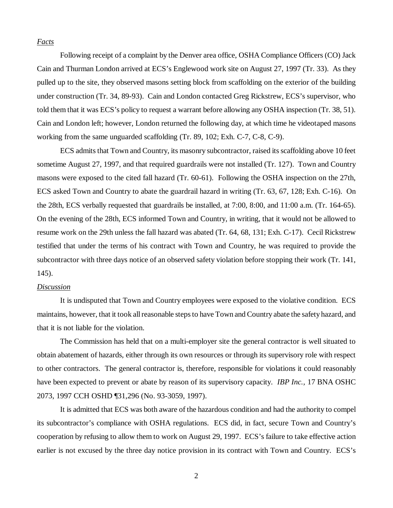*Facts*

Following receipt of a complaint by the Denver area office, OSHA Compliance Officers (CO) Jack Cain and Thurman London arrived at ECS's Englewood work site on August 27, 1997 (Tr. 33). As they pulled up to the site, they observed masons setting block from scaffolding on the exterior of the building under construction (Tr. 34, 89-93). Cain and London contacted Greg Rickstrew, ECS's supervisor, who told them that it was ECS's policy to request a warrant before allowing any OSHA inspection (Tr. 38, 51). Cain and London left; however, London returned the following day, at which time he videotaped masons working from the same unguarded scaffolding (Tr. 89, 102; Exh. C-7, C-8, C-9).

ECS admits that Town and Country, its masonry subcontractor, raised its scaffolding above 10 feet sometime August 27, 1997, and that required guardrails were not installed (Tr. 127). Town and Country masons were exposed to the cited fall hazard (Tr. 60-61). Following the OSHA inspection on the 27th, ECS asked Town and Country to abate the guardrail hazard in writing (Tr. 63, 67, 128; Exh. C-16). On the 28th, ECS verbally requested that guardrails be installed, at 7:00, 8:00, and 11:00 a.m. (Tr. 164-65). On the evening of the 28th, ECS informed Town and Country, in writing, that it would not be allowed to resume work on the 29th unless the fall hazard was abated (Tr. 64, 68, 131; Exh. C-17). Cecil Rickstrew testified that under the terms of his contract with Town and Country, he was required to provide the subcontractor with three days notice of an observed safety violation before stopping their work (Tr. 141, 145).

### *Discussion*

It is undisputed that Town and Country employees were exposed to the violative condition. ECS maintains, however, that it took all reasonable steps to have Town and Country abate the safety hazard, and that it is not liable for the violation.

The Commission has held that on a multi-employer site the general contractor is well situated to obtain abatement of hazards, either through its own resources or through its supervisory role with respect to other contractors. The general contractor is, therefore, responsible for violations it could reasonably have been expected to prevent or abate by reason of its supervisory capacity. *IBP Inc.,* 17 BNA OSHC 2073, 1997 CCH OSHD ¶31,296 (No. 93-3059, 1997).

It is admitted that ECS was both aware of the hazardous condition and had the authority to compel its subcontractor's compliance with OSHA regulations. ECS did, in fact, secure Town and Country's cooperation by refusing to allow them to work on August 29, 1997. ECS's failure to take effective action earlier is not excused by the three day notice provision in its contract with Town and Country. ECS's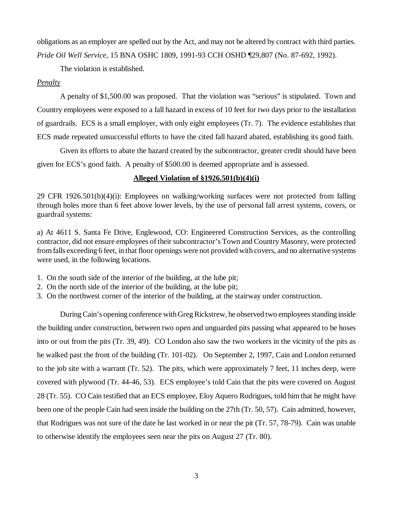obligations as an employer are spelled out by the Act, and may not be altered by contract with third parties. *Pride Oil Well Service,* 15 BNA OSHC 1809, 1991-93 CCH OSHD ¶29,807 (No. 87-692, 1992).

The violation is established.

# *Penalty*

A penalty of \$1,500.00 was proposed. That the violation was "serious" is stipulated. Town and Country employees were exposed to a fall hazard in excess of 10 feet for two days prior to the installation of guardrails. ECS is a small employer, with only eight employees (Tr. 7). The evidence establishes that ECS made repeated unsuccessful efforts to have the cited fall hazard abated, establishing its good faith.

Given its efforts to abate the hazard created by the subcontractor, greater credit should have been given for ECS's good faith. A penalty of \$500.00 is deemed appropriate and is assessed.

## **Alleged Violation of §1926.501(b)(4)(i)**

29 CFR 1926.501(b)(4)(i): Employees on walking/working surfaces were not protected from falling through holes more than 6 feet above lower levels, by the use of personal fall arrest systems, covers, or guardrail systems:

a) At 4611 S. Santa Fe Drive, Englewood, CO: Engineered Construction Services, as the controlling contractor, did not ensure employees of their subcontractor's Town and Country Masonry, were protected from falls exceeding 6 feet, in that floor openings were not provided with covers, and no alternative systems were used, in the following locations.

- 1. On the south side of the interior of the building, at the lube pit;
- 2. On the north side of the interior of the building, at the lube pit;
- 3. On the northwest corner of the interior of the building, at the stairway under construction.

During Cain's opening conference with Greg Rickstrew, he observed two employees standing inside the building under construction, between two open and unguarded pits passing what appeared to be hoses into or out from the pits (Tr. 39, 49). CO London also saw the two workers in the vicinity of the pits as he walked past the front of the building (Tr. 101-02). On September 2, 1997, Cain and London returned to the job site with a warrant (Tr. 52). The pits, which were approximately 7 feet, 11 inches deep, were covered with plywood (Tr. 44-46, 53). ECS employee's told Cain that the pits were covered on August 28 (Tr. 55). CO Cain testified that an ECS employee, Eloy Aquero Rodrigues, told him that he might have been one of the people Cain had seen inside the building on the 27th (Tr. 50, 57). Cain admitted, however, that Rodrigues was not sure of the date he last worked in or near the pit (Tr. 57, 78-79). Cain was unable to otherwise identify the employees seen near the pits on August 27 (Tr. 80).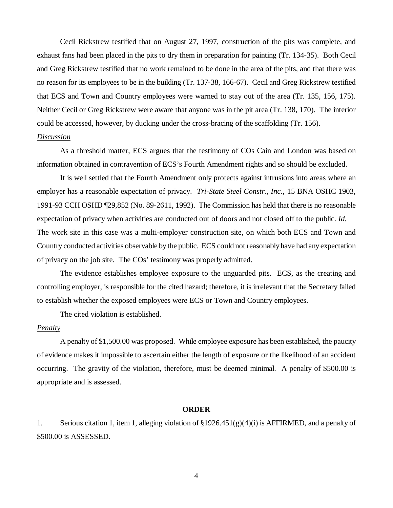Cecil Rickstrew testified that on August 27, 1997, construction of the pits was complete, and exhaust fans had been placed in the pits to dry them in preparation for painting (Tr. 134-35). Both Cecil and Greg Rickstrew testified that no work remained to be done in the area of the pits, and that there was no reason for its employees to be in the building (Tr. 137-38, 166-67). Cecil and Greg Rickstrew testified that ECS and Town and Country employees were warned to stay out of the area (Tr. 135, 156, 175). Neither Cecil or Greg Rickstrew were aware that anyone was in the pit area (Tr. 138, 170). The interior could be accessed, however, by ducking under the cross-bracing of the scaffolding (Tr. 156).

# *Discussion*

As a threshold matter, ECS argues that the testimony of COs Cain and London was based on information obtained in contravention of ECS's Fourth Amendment rights and so should be excluded.

It is well settled that the Fourth Amendment only protects against intrusions into areas where an employer has a reasonable expectation of privacy. *Tri-State Steel Constr., Inc.,* 15 BNA OSHC 1903, 1991-93 CCH OSHD ¶29,852 (No. 89-2611, 1992). The Commission has held that there is no reasonable expectation of privacy when activities are conducted out of doors and not closed off to the public. *Id.* The work site in this case was a multi-employer construction site, on which both ECS and Town and Country conducted activities observable by the public. ECS could not reasonably have had any expectation of privacy on the job site. The COs' testimony was properly admitted.

The evidence establishes employee exposure to the unguarded pits. ECS, as the creating and controlling employer, is responsible for the cited hazard; therefore, it is irrelevant that the Secretary failed to establish whether the exposed employees were ECS or Town and Country employees.

The cited violation is established.

### *Penalty*

A penalty of \$1,500.00 was proposed. While employee exposure has been established, the paucity of evidence makes it impossible to ascertain either the length of exposure or the likelihood of an accident occurring. The gravity of the violation, therefore, must be deemed minimal. A penalty of \$500.00 is appropriate and is assessed.

#### **ORDER**

1. Serious citation 1, item 1, alleging violation of §1926.451(g)(4)(i) is AFFIRMED, and a penalty of \$500.00 is ASSESSED.

4